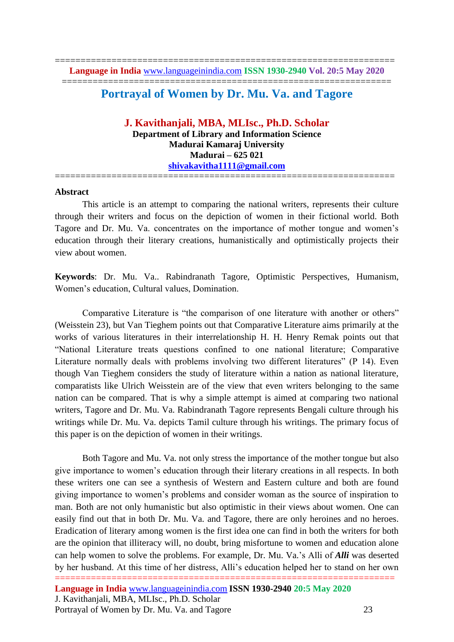## ================================================================

# **Portrayal of Women by Dr. Mu. Va. and Tagore**

### **J. Kavithanjali, MBA, MLIsc., Ph.D. Scholar Department of Library and Information Science Madurai Kamaraj University Madurai – 625 021 [shivakavitha1111@gmail.com](mailto:shivakavitha1111@gmail.com)** ==================================================================

#### **Abstract**

This article is an attempt to comparing the national writers, represents their culture through their writers and focus on the depiction of women in their fictional world. Both Tagore and Dr. Mu. Va. concentrates on the importance of mother tongue and women's education through their literary creations, humanistically and optimistically projects their view about women.

**Keywords**: Dr. Mu. Va.. Rabindranath Tagore, Optimistic Perspectives, Humanism, Women's education, Cultural values, Domination.

Comparative Literature is "the comparison of one literature with another or others" (Weisstein 23), but Van Tieghem points out that Comparative Literature aims primarily at the works of various literatures in their interrelationship H. H. Henry Remak points out that "National Literature treats questions confined to one national literature; Comparative Literature normally deals with problems involving two different literatures" (P 14). Even though Van Tieghem considers the study of literature within a nation as national literature, comparatists like Ulrich Weisstein are of the view that even writers belonging to the same nation can be compared. That is why a simple attempt is aimed at comparing two national writers, Tagore and Dr. Mu. Va. Rabindranath Tagore represents Bengali culture through his writings while Dr. Mu. Va. depicts Tamil culture through his writings. The primary focus of this paper is on the depiction of women in their writings.

================================================================== Both Tagore and Mu. Va. not only stress the importance of the mother tongue but also give importance to women's education through their literary creations in all respects. In both these writers one can see a synthesis of Western and Eastern culture and both are found giving importance to women's problems and consider woman as the source of inspiration to man. Both are not only humanistic but also optimistic in their views about women. One can easily find out that in both Dr. Mu. Va. and Tagore, there are only heroines and no heroes. Eradication of literary among women is the first idea one can find in both the writers for both are the opinion that illiteracy will, no doubt, bring misfortune to women and education alone can help women to solve the problems. For example, Dr. Mu. Va.'s Alli of *Alli* was deserted by her husband. At this time of her distress, Alli's education helped her to stand on her own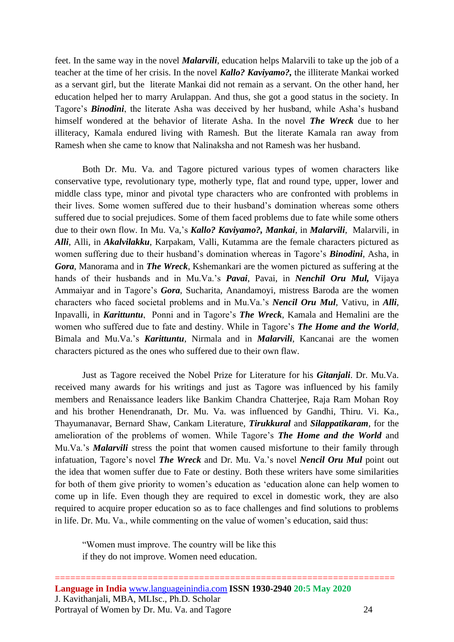feet. In the same way in the novel *Malarvili*, education helps Malarvili to take up the job of a teacher at the time of her crisis. In the novel *Kallo? Kaviyamo?,* the illiterate Mankai worked as a servant girl, but the literate Mankai did not remain as a servant. On the other hand, her education helped her to marry Arulappan. And thus, she got a good status in the society. In Tagore's *Binodini*, the literate Asha was deceived by her husband, while Asha's husband himself wondered at the behavior of literate Asha. In the novel *The Wreck* due to her illiteracy, Kamala endured living with Ramesh. But the literate Kamala ran away from Ramesh when she came to know that Nalinaksha and not Ramesh was her husband.

Both Dr. Mu. Va. and Tagore pictured various types of women characters like conservative type, revolutionary type, motherly type, flat and round type, upper, lower and middle class type, minor and pivotal type characters who are confronted with problems in their lives. Some women suffered due to their husband's domination whereas some others suffered due to social prejudices. Some of them faced problems due to fate while some others due to their own flow. In Mu. Va,'s *Kallo? Kaviyamo?, Mankai*, in *Malarvili*, Malarvili, in *Alli*, Alli, in *Akalvilakku*, Karpakam, Valli, Kutamma are the female characters pictured as women suffering due to their husband's domination whereas in Tagore's *Binodini*, Asha, in *Gora*, Manorama and in *The Wreck*, Kshemankari are the women pictured as suffering at the hands of their husbands and in Mu.Va.'s *Pavai*, Pavai, in *Nenchil Oru Mul,* Vijaya Ammaiyar and in Tagore's *Gora*, Sucharita, Anandamoyi, mistress Baroda are the women characters who faced societal problems and in Mu.Va.'s *Nencil Oru Mul*, Vativu, in *Alli*, Inpavalli, in *Karittuntu*, Ponni and in Tagore's *The Wreck*, Kamala and Hemalini are the women who suffered due to fate and destiny. While in Tagore's *The Home and the World*, Bimala and Mu.Va.'s *Karittuntu*, Nirmala and in *Malarvili*, Kancanai are the women characters pictured as the ones who suffered due to their own flaw.

Just as Tagore received the Nobel Prize for Literature for his *Gitanjali*. Dr. Mu.Va. received many awards for his writings and just as Tagore was influenced by his family members and Renaissance leaders like Bankim Chandra Chatterjee, Raja Ram Mohan Roy and his brother Henendranath, Dr. Mu. Va. was influenced by Gandhi, Thiru. Vi. Ka., Thayumanavar, Bernard Shaw, Cankam Literature, *Tirukkural* and *Silappatikaram*, for the amelioration of the problems of women. While Tagore's *The Home and the World* and Mu.Va.'s *Malarvili* stress the point that women caused misfortune to their family through infatuation, Tagore's novel *The Wreck* and Dr. Mu. Va.'s novel *Nencil Oru Mul* point out the idea that women suffer due to Fate or destiny. Both these writers have some similarities for both of them give priority to women's education as 'education alone can help women to come up in life. Even though they are required to excel in domestic work, they are also required to acquire proper education so as to face challenges and find solutions to problems in life. Dr. Mu. Va., while commenting on the value of women's education, said thus:

"Women must improve. The country will be like this if they do not improve. Women need education.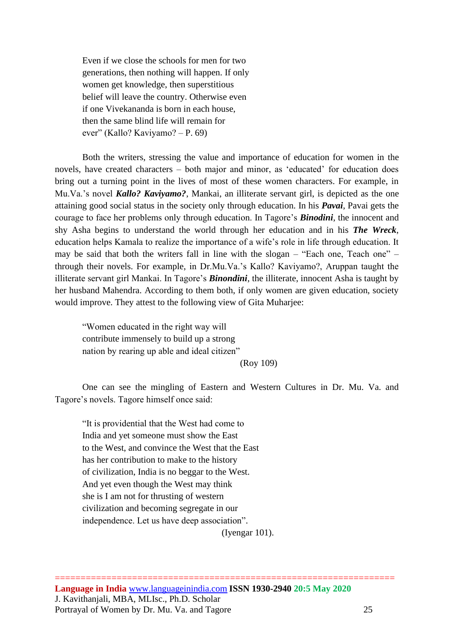Even if we close the schools for men for two generations, then nothing will happen. If only women get knowledge, then superstitious belief will leave the country. Otherwise even if one Vivekananda is born in each house, then the same blind life will remain for ever" (Kallo? Kaviyamo? – P. 69)

Both the writers, stressing the value and importance of education for women in the novels, have created characters – both major and minor, as 'educated' for education does bring out a turning point in the lives of most of these women characters. For example, in Mu.Va.'s novel *Kallo? Kaviyamo?*, Mankai, an illiterate servant girl, is depicted as the one attaining good social status in the society only through education. In his *Pavai*, Pavai gets the courage to face her problems only through education. In Tagore's *Binodini*, the innocent and shy Asha begins to understand the world through her education and in his *The Wreck*, education helps Kamala to realize the importance of a wife's role in life through education. It may be said that both the writers fall in line with the slogan – "Each one, Teach one" – through their novels. For example, in Dr.Mu.Va.'s Kallo? Kaviyamo?, Aruppan taught the illiterate servant girl Mankai. In Tagore's *Binondini*, the illiterate, innocent Asha is taught by her husband Mahendra. According to them both, if only women are given education, society would improve. They attest to the following view of Gita Muharjee:

"Women educated in the right way will contribute immensely to build up a strong nation by rearing up able and ideal citizen"

(Roy 109)

One can see the mingling of Eastern and Western Cultures in Dr. Mu. Va. and Tagore's novels. Tagore himself once said:

"It is providential that the West had come to India and yet someone must show the East to the West, and convince the West that the East has her contribution to make to the history of civilization, India is no beggar to the West. And yet even though the West may think she is I am not for thrusting of western civilization and becoming segregate in our independence. Let us have deep association".

(Iyengar 101).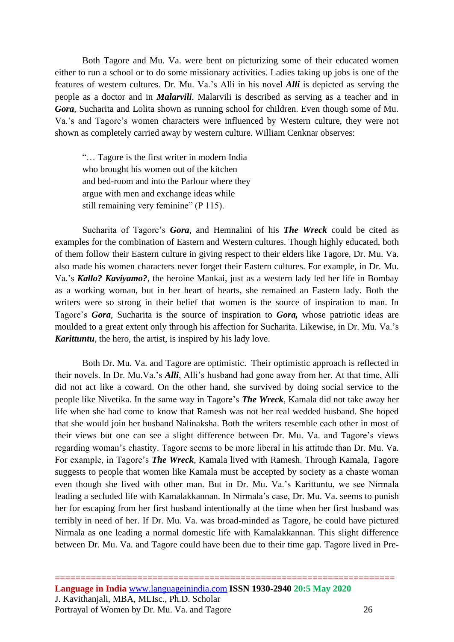Both Tagore and Mu. Va. were bent on picturizing some of their educated women either to run a school or to do some missionary activities. Ladies taking up jobs is one of the features of western cultures. Dr. Mu. Va.'s Alli in his novel *Alli* is depicted as serving the people as a doctor and in *Malarvili*. Malarvili is described as serving as a teacher and in *Gora*, Sucharita and Lolita shown as running school for children. Even though some of Mu. Va.'s and Tagore's women characters were influenced by Western culture, they were not shown as completely carried away by western culture. William Cenknar observes:

"… Tagore is the first writer in modern India who brought his women out of the kitchen and bed-room and into the Parlour where they argue with men and exchange ideas while still remaining very feminine" (P 115).

Sucharita of Tagore's *Gora*, and Hemnalini of his *The Wreck* could be cited as examples for the combination of Eastern and Western cultures. Though highly educated, both of them follow their Eastern culture in giving respect to their elders like Tagore, Dr. Mu. Va. also made his women characters never forget their Eastern cultures. For example, in Dr. Mu. Va.'s *Kallo? Kaviyamo?*, the heroine Mankai, just as a western lady led her life in Bombay as a working woman, but in her heart of hearts, she remained an Eastern lady. Both the writers were so strong in their belief that women is the source of inspiration to man. In Tagore's *Gora*, Sucharita is the source of inspiration to *Gora,* whose patriotic ideas are moulded to a great extent only through his affection for Sucharita. Likewise, in Dr. Mu. Va.'s *Karittuntu*, the hero, the artist, is inspired by his lady love.

Both Dr. Mu. Va. and Tagore are optimistic. Their optimistic approach is reflected in their novels. In Dr. Mu.Va.'s *Alli*, Alli's husband had gone away from her. At that time, Alli did not act like a coward. On the other hand, she survived by doing social service to the people like Nivetika. In the same way in Tagore's *The Wreck*, Kamala did not take away her life when she had come to know that Ramesh was not her real wedded husband. She hoped that she would join her husband Nalinaksha. Both the writers resemble each other in most of their views but one can see a slight difference between Dr. Mu. Va. and Tagore's views regarding woman's chastity. Tagore seems to be more liberal in his attitude than Dr. Mu. Va. For example, in Tagore's *The Wreck*, Kamala lived with Ramesh. Through Kamala, Tagore suggests to people that women like Kamala must be accepted by society as a chaste woman even though she lived with other man. But in Dr. Mu. Va.'s Karittuntu, we see Nirmala leading a secluded life with Kamalakkannan. In Nirmala's case, Dr. Mu. Va. seems to punish her for escaping from her first husband intentionally at the time when her first husband was terribly in need of her. If Dr. Mu. Va. was broad-minded as Tagore, he could have pictured Nirmala as one leading a normal domestic life with Kamalakkannan. This slight difference between Dr. Mu. Va. and Tagore could have been due to their time gap. Tagore lived in Pre-

==================================================================

**Language in India** [www.languageinindia.com](http://www.languageinindia.com/) **ISSN 1930-2940 20:5 May 2020** J. Kavithanjali, MBA, MLIsc., Ph.D. Scholar Portrayal of Women by Dr. Mu. Va. and Tagore 26